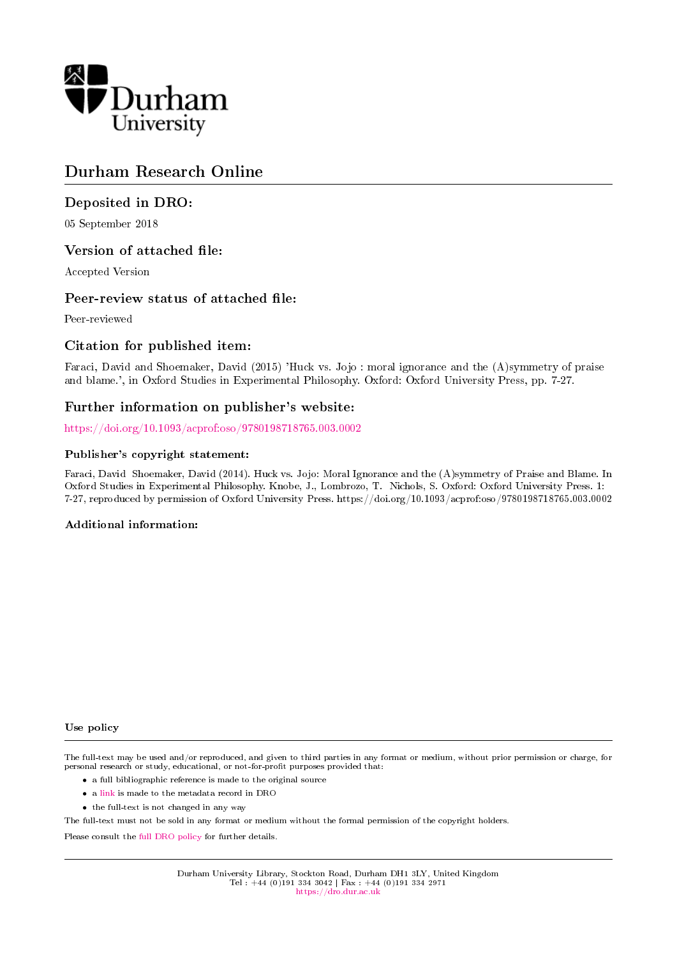

# Durham Research Online

# Deposited in DRO:

05 September 2018

# Version of attached file:

Accepted Version

# Peer-review status of attached file:

Peer-reviewed

# Citation for published item:

Faraci, David and Shoemaker, David (2015) 'Huck vs. Jojo : moral ignorance and the (A)symmetry of praise and blame.', in Oxford Studies in Experimental Philosophy. Oxford: Oxford University Press, pp. 7-27.

# Further information on publisher's website:

<https://doi.org/10.1093/acprof:oso/9780198718765.003.0002>

### Publisher's copyright statement:

Faraci, David Shoemaker, David (2014). Huck vs. Jojo: Moral Ignorance and the (A)symmetry of Praise and Blame. In Oxford Studies in Experimental Philosophy. Knobe, J., Lombrozo, T. Nichols, S. Oxford: Oxford University Press. 1: 7-27, reproduced by permission of Oxford University Press. https://doi.org/10.1093/acprof:oso/9780198718765.003.0002

#### Additional information:

Use policy

The full-text may be used and/or reproduced, and given to third parties in any format or medium, without prior permission or charge, for personal research or study, educational, or not-for-profit purposes provided that:

- a full bibliographic reference is made to the original source
- a [link](http://dro.dur.ac.uk/26082/) is made to the metadata record in DRO
- the full-text is not changed in any way

The full-text must not be sold in any format or medium without the formal permission of the copyright holders.

Please consult the [full DRO policy](https://dro.dur.ac.uk/policies/usepolicy.pdf) for further details.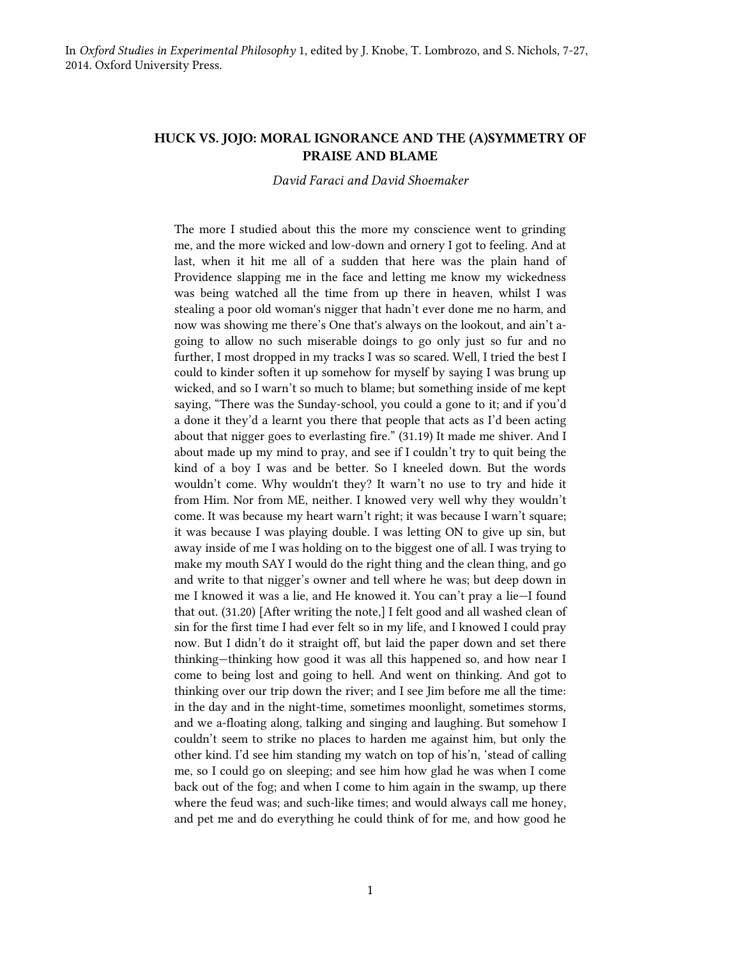### **HUCK VS. JOJO: MORAL IGNORANCE AND THE (A)SYMMETRY OF PRAISE AND BLAME**

*David Faraci and David Shoemaker*

The more I studied about this the more my conscience went to grinding me, and the more wicked and low-down and ornery I got to feeling. And at last, when it hit me all of a sudden that here was the plain hand of Providence slapping me in the face and letting me know my wickedness was being watched all the time from up there in heaven, whilst I was stealing a poor old woman's nigger that hadn't ever done me no harm, and now was showing me there's One that's always on the lookout, and ain't agoing to allow no such miserable doings to go only just so fur and no further, I most dropped in my tracks I was so scared. Well, I tried the best I could to kinder soften it up somehow for myself by saying I was brung up wicked, and so I warn't so much to blame; but something inside of me kept saying, "There was the Sunday-school, you could a gone to it; and if you'd a done it they'd a learnt you there that people that acts as I'd been acting about that nigger goes to everlasting fire." (31.19) It made me shiver. And I about made up my mind to pray, and see if I couldn't try to quit being the kind of a boy I was and be better. So I kneeled down. But the words wouldn't come. Why wouldn't they? It warn't no use to try and hide it from Him. Nor from ME, neither. I knowed very well why they wouldn't come. It was because my heart warn't right; it was because I warn't square; it was because I was playing double. I was letting ON to give up sin, but away inside of me I was holding on to the biggest one of all. I was trying to make my mouth SAY I would do the right thing and the clean thing, and go and write to that nigger's owner and tell where he was; but deep down in me I knowed it was a lie, and He knowed it. You can't pray a lie—I found that out. (31.20) [After writing the note,] I felt good and all washed clean of sin for the first time I had ever felt so in my life, and I knowed I could pray now. But I didn't do it straight off, but laid the paper down and set there thinking—thinking how good it was all this happened so, and how near I come to being lost and going to hell. And went on thinking. And got to thinking over our trip down the river; and I see Jim before me all the time: in the day and in the night-time, sometimes moonlight, sometimes storms, and we a-floating along, talking and singing and laughing. But somehow I couldn't seem to strike no places to harden me against him, but only the other kind. I'd see him standing my watch on top of his'n, 'stead of calling me, so I could go on sleeping; and see him how glad he was when I come back out of the fog; and when I come to him again in the swamp, up there where the feud was; and such-like times; and would always call me honey, and pet me and do everything he could think of for me, and how good he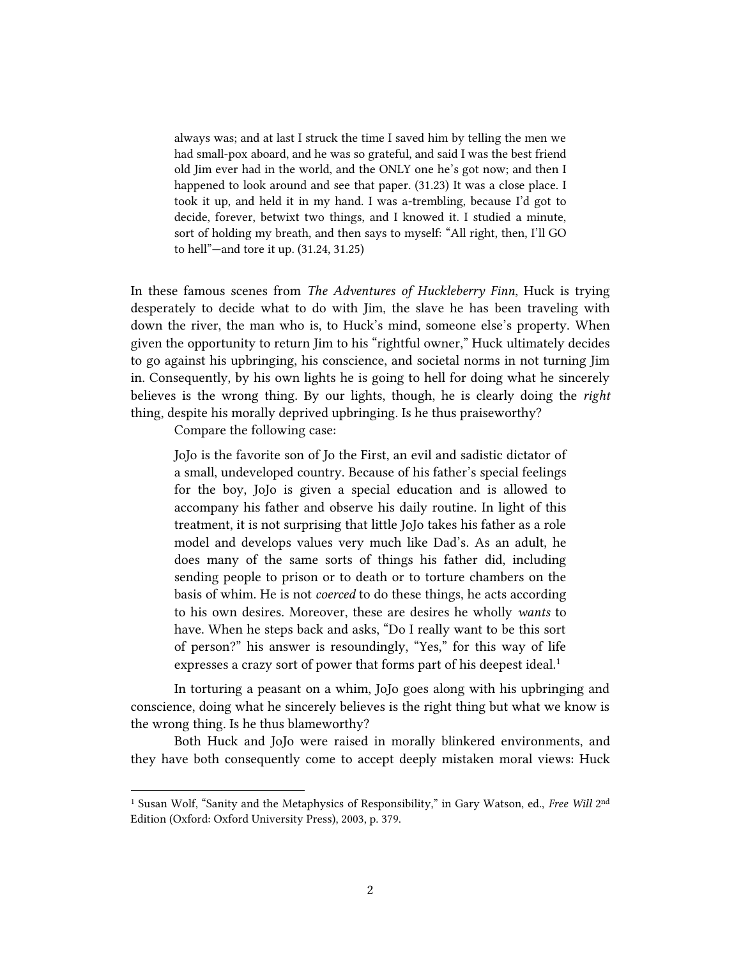always was; and at last I struck the time I saved him by telling the men we had small-pox aboard, and he was so grateful, and said I was the best friend old Jim ever had in the world, and the ONLY one he's got now; and then I happened to look around and see that paper. (31.23) It was a close place. I took it up, and held it in my hand. I was a-trembling, because I'd got to decide, forever, betwixt two things, and I knowed it. I studied a minute, sort of holding my breath, and then says to myself: "All right, then, I'll GO to hell"—and tore it up. (31.24, 31.25)

In these famous scenes from *The Adventures of Huckleberry Finn*, Huck is trying desperately to decide what to do with Jim, the slave he has been traveling with down the river, the man who is, to Huck's mind, someone else's property. When given the opportunity to return Jim to his "rightful owner," Huck ultimately decides to go against his upbringing, his conscience, and societal norms in not turning Jim in. Consequently, by his own lights he is going to hell for doing what he sincerely believes is the wrong thing. By our lights, though, he is clearly doing the *right* thing, despite his morally deprived upbringing. Is he thus praiseworthy?

Compare the following case:

 $\overline{a}$ 

JoJo is the favorite son of Jo the First, an evil and sadistic dictator of a small, undeveloped country. Because of his father's special feelings for the boy, JoJo is given a special education and is allowed to accompany his father and observe his daily routine. In light of this treatment, it is not surprising that little JoJo takes his father as a role model and develops values very much like Dad's. As an adult, he does many of the same sorts of things his father did, including sending people to prison or to death or to torture chambers on the basis of whim. He is not *coerced* to do these things, he acts according to his own desires. Moreover, these are desires he wholly *wants* to have. When he steps back and asks, "Do I really want to be this sort of person?" his answer is resoundingly, "Yes," for this way of life expresses a crazy sort of power that forms part of his deepest ideal.<sup>1</sup>

In torturing a peasant on a whim, JoJo goes along with his upbringing and conscience, doing what he sincerely believes is the right thing but what we know is the wrong thing. Is he thus blameworthy?

Both Huck and JoJo were raised in morally blinkered environments, and they have both consequently come to accept deeply mistaken moral views: Huck

<sup>&</sup>lt;sup>1</sup> Susan Wolf, "Sanity and the Metaphysics of Responsibility," in Gary Watson, ed., *Free Will* 2<sup>nd</sup> Edition (Oxford: Oxford University Press), 2003, p. 379.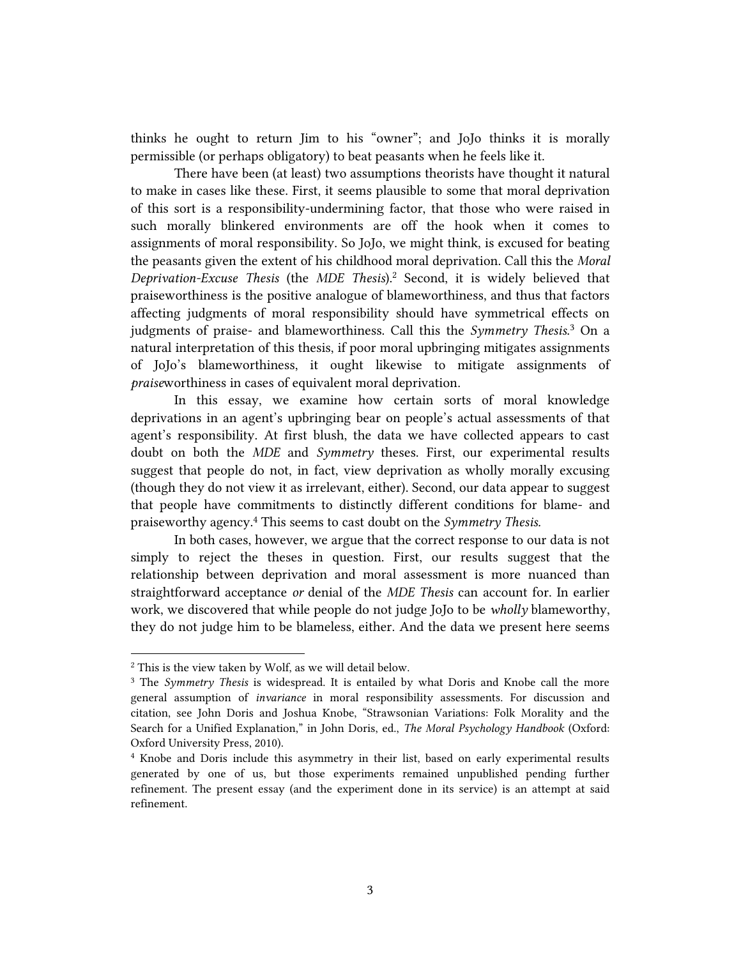thinks he ought to return Jim to his "owner"; and JoJo thinks it is morally permissible (or perhaps obligatory) to beat peasants when he feels like it.

There have been (at least) two assumptions theorists have thought it natural to make in cases like these. First, it seems plausible to some that moral deprivation of this sort is a responsibility-undermining factor, that those who were raised in such morally blinkered environments are off the hook when it comes to assignments of moral responsibility. So JoJo, we might think, is excused for beating the peasants given the extent of his childhood moral deprivation. Call this the *Moral Deprivation-Excuse Thesis* (the *MDE Thesis*). <sup>2</sup> Second, it is widely believed that praiseworthiness is the positive analogue of blameworthiness, and thus that factors affecting judgments of moral responsibility should have symmetrical effects on judgments of praise- and blameworthiness. Call this the *Symmetry Thesis*. <sup>3</sup> On a natural interpretation of this thesis, if poor moral upbringing mitigates assignments of JoJo's blameworthiness, it ought likewise to mitigate assignments of *praise*worthiness in cases of equivalent moral deprivation.

In this essay, we examine how certain sorts of moral knowledge deprivations in an agent's upbringing bear on people's actual assessments of that agent's responsibility. At first blush, the data we have collected appears to cast doubt on both the *MDE* and *Symmetry* theses. First, our experimental results suggest that people do not, in fact, view deprivation as wholly morally excusing (though they do not view it as irrelevant, either). Second, our data appear to suggest that people have commitments to distinctly different conditions for blame- and praiseworthy agency. <sup>4</sup> This seems to cast doubt on the *Symmetry Thesis.*

In both cases, however, we argue that the correct response to our data is not simply to reject the theses in question. First, our results suggest that the relationship between deprivation and moral assessment is more nuanced than straightforward acceptance *or* denial of the *MDE Thesis* can account for. In earlier work, we discovered that while people do not judge JoJo to be *wholly* blameworthy, they do not judge him to be blameless, either. And the data we present here seems

<sup>2</sup> This is the view taken by Wolf, as we will detail below.

<sup>3</sup> The *Symmetry Thesis* is widespread. It is entailed by what Doris and Knobe call the more general assumption of *invariance* in moral responsibility assessments. For discussion and citation, see John Doris and Joshua Knobe, "Strawsonian Variations: Folk Morality and the Search for a Unified Explanation," in John Doris, ed., *The Moral Psychology Handbook* (Oxford: Oxford University Press, 2010).

<sup>4</sup> Knobe and Doris include this asymmetry in their list, based on early experimental results generated by one of us, but those experiments remained unpublished pending further refinement. The present essay (and the experiment done in its service) is an attempt at said refinement.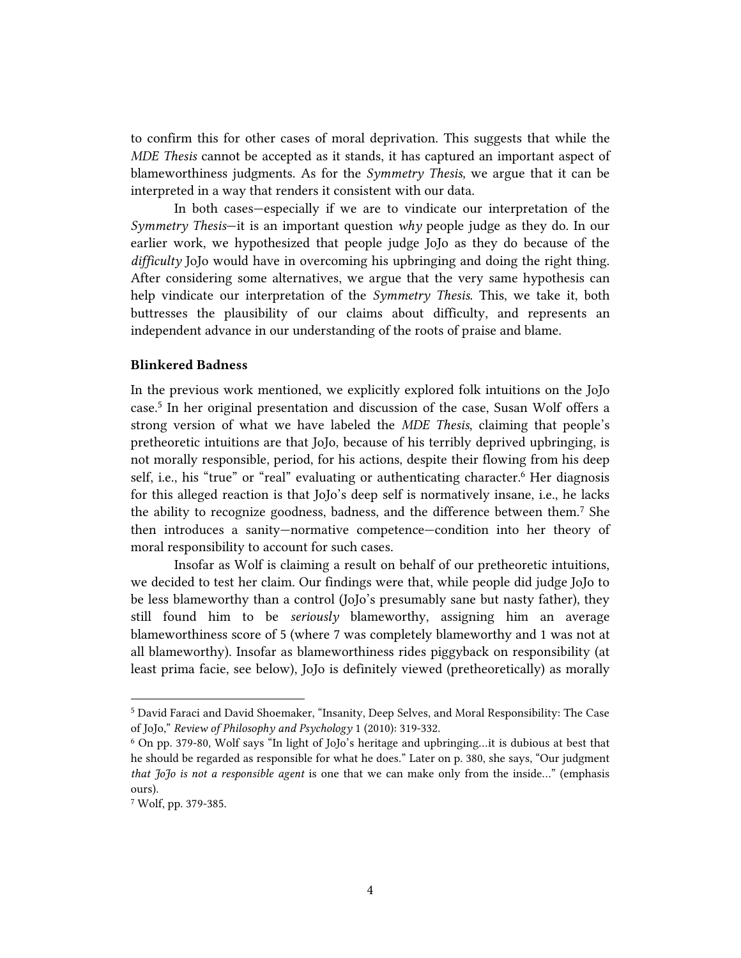to confirm this for other cases of moral deprivation. This suggests that while the *MDE Thesis* cannot be accepted as it stands, it has captured an important aspect of blameworthiness judgments. As for the *Symmetry Thesis,* we argue that it can be interpreted in a way that renders it consistent with our data.

In both cases—especially if we are to vindicate our interpretation of the *Symmetry Thesis*—it is an important question *why* people judge as they do. In our earlier work, we hypothesized that people judge JoJo as they do because of the *difficulty* JoJo would have in overcoming his upbringing and doing the right thing. After considering some alternatives, we argue that the very same hypothesis can help vindicate our interpretation of the *Symmetry Thesis.* This, we take it, both buttresses the plausibility of our claims about difficulty, and represents an independent advance in our understanding of the roots of praise and blame.

### **Blinkered Badness**

In the previous work mentioned, we explicitly explored folk intuitions on the JoJo case.<sup>5</sup> In her original presentation and discussion of the case, Susan Wolf offers a strong version of what we have labeled the *MDE Thesis*, claiming that people's pretheoretic intuitions are that JoJo, because of his terribly deprived upbringing, is not morally responsible, period, for his actions, despite their flowing from his deep self, i.e., his "true" or "real" evaluating or authenticating character. <sup>6</sup> Her diagnosis for this alleged reaction is that JoJo's deep self is normatively insane, i.e., he lacks the ability to recognize goodness, badness, and the difference between them.<sup>7</sup> She then introduces a sanity—normative competence—condition into her theory of moral responsibility to account for such cases.

Insofar as Wolf is claiming a result on behalf of our pretheoretic intuitions, we decided to test her claim. Our findings were that, while people did judge JoJo to be less blameworthy than a control (JoJo's presumably sane but nasty father), they still found him to be *seriously* blameworthy, assigning him an average blameworthiness score of 5 (where 7 was completely blameworthy and 1 was not at all blameworthy). Insofar as blameworthiness rides piggyback on responsibility (at least prima facie, see below), JoJo is definitely viewed (pretheoretically) as morally

<sup>5</sup> David Faraci and David Shoemaker, "Insanity, Deep Selves, and Moral Responsibility: The Case of JoJo," *Review of Philosophy and Psychology* 1 (2010): 319-332.

<sup>6</sup> On pp. 379-80, Wolf says "In light of JoJo's heritage and upbringing…it is dubious at best that he should be regarded as responsible for what he does." Later on p. 380, she says, "Our judgment *that JoJo is not a responsible agent* is one that we can make only from the inside…" (emphasis ours).

<sup>7</sup> Wolf, pp. 379-385.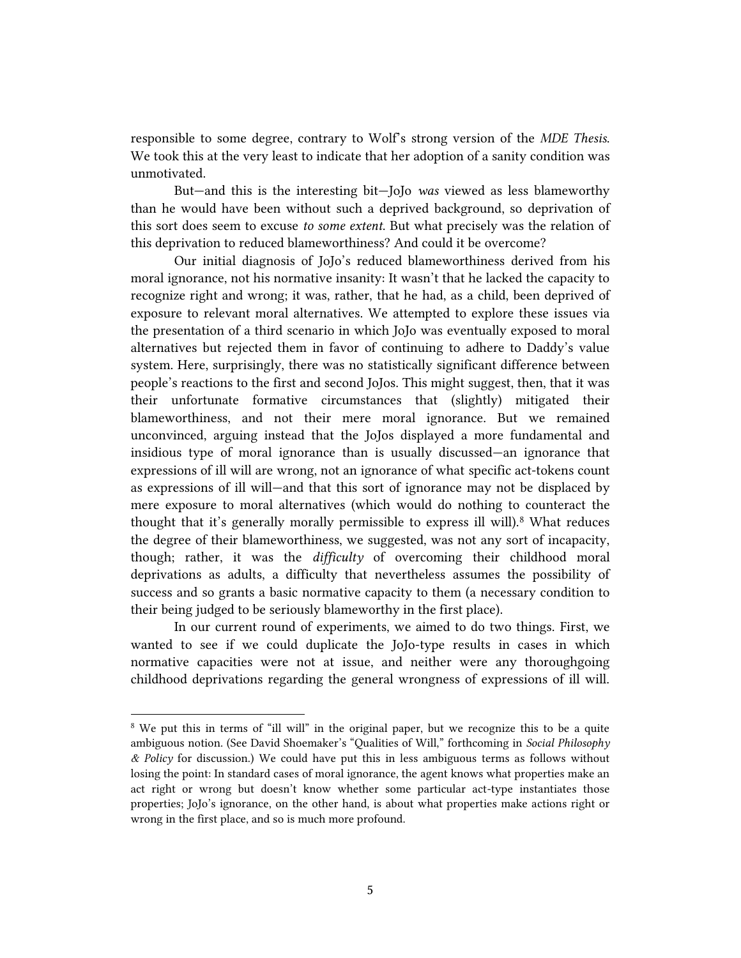responsible to some degree, contrary to Wolf's strong version of the *MDE Thesis*. We took this at the very least to indicate that her adoption of a sanity condition was unmotivated.

But—and this is the interesting bit—JoJo *was* viewed as less blameworthy than he would have been without such a deprived background, so deprivation of this sort does seem to excuse *to some extent*. But what precisely was the relation of this deprivation to reduced blameworthiness? And could it be overcome?

Our initial diagnosis of JoJo's reduced blameworthiness derived from his moral ignorance, not his normative insanity: It wasn't that he lacked the capacity to recognize right and wrong; it was, rather, that he had, as a child, been deprived of exposure to relevant moral alternatives. We attempted to explore these issues via the presentation of a third scenario in which JoJo was eventually exposed to moral alternatives but rejected them in favor of continuing to adhere to Daddy's value system. Here, surprisingly, there was no statistically significant difference between people's reactions to the first and second JoJos. This might suggest, then, that it was their unfortunate formative circumstances that (slightly) mitigated their blameworthiness, and not their mere moral ignorance. But we remained unconvinced, arguing instead that the JoJos displayed a more fundamental and insidious type of moral ignorance than is usually discussed—an ignorance that expressions of ill will are wrong, not an ignorance of what specific act-tokens count as expressions of ill will—and that this sort of ignorance may not be displaced by mere exposure to moral alternatives (which would do nothing to counteract the thought that it's generally morally permissible to express ill will).<sup>8</sup> What reduces the degree of their blameworthiness, we suggested, was not any sort of incapacity, though; rather, it was the *difficulty* of overcoming their childhood moral deprivations as adults, a difficulty that nevertheless assumes the possibility of success and so grants a basic normative capacity to them (a necessary condition to their being judged to be seriously blameworthy in the first place).

In our current round of experiments, we aimed to do two things. First, we wanted to see if we could duplicate the JoJo-type results in cases in which normative capacities were not at issue, and neither were any thoroughgoing childhood deprivations regarding the general wrongness of expressions of ill will.

<sup>&</sup>lt;sup>8</sup> We put this in terms of "ill will" in the original paper, but we recognize this to be a quite ambiguous notion. (See David Shoemaker's "Qualities of Will," forthcoming in *Social Philosophy & Policy* for discussion.) We could have put this in less ambiguous terms as follows without losing the point: In standard cases of moral ignorance, the agent knows what properties make an act right or wrong but doesn't know whether some particular act-type instantiates those properties; JoJo's ignorance, on the other hand, is about what properties make actions right or wrong in the first place, and so is much more profound.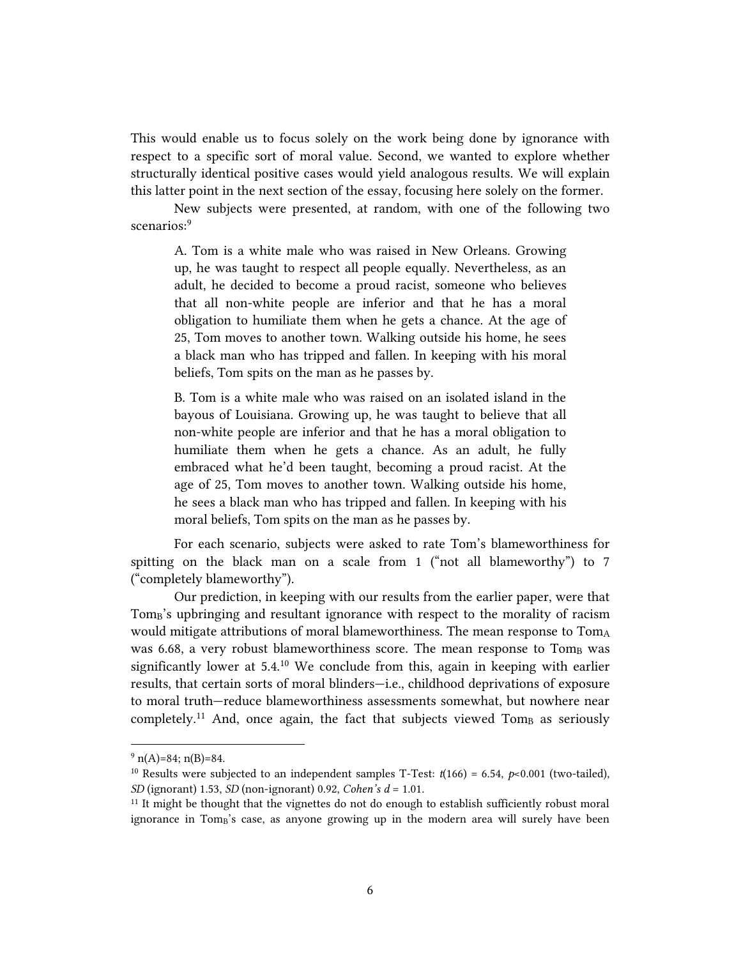This would enable us to focus solely on the work being done by ignorance with respect to a specific sort of moral value. Second, we wanted to explore whether structurally identical positive cases would yield analogous results. We will explain this latter point in the next section of the essay, focusing here solely on the former.

New subjects were presented, at random, with one of the following two scenarios:<sup>9</sup>

A. Tom is a white male who was raised in New Orleans. Growing up, he was taught to respect all people equally. Nevertheless, as an adult, he decided to become a proud racist, someone who believes that all non-white people are inferior and that he has a moral obligation to humiliate them when he gets a chance. At the age of 25, Tom moves to another town. Walking outside his home, he sees a black man who has tripped and fallen. In keeping with his moral beliefs, Tom spits on the man as he passes by.

B. Tom is a white male who was raised on an isolated island in the bayous of Louisiana. Growing up, he was taught to believe that all non-white people are inferior and that he has a moral obligation to humiliate them when he gets a chance. As an adult, he fully embraced what he'd been taught, becoming a proud racist. At the age of 25, Tom moves to another town. Walking outside his home, he sees a black man who has tripped and fallen. In keeping with his moral beliefs, Tom spits on the man as he passes by.

For each scenario, subjects were asked to rate Tom's blameworthiness for spitting on the black man on a scale from 1 ("not all blameworthy") to 7 ("completely blameworthy").

Our prediction, in keeping with our results from the earlier paper, were that Tom<sub>B</sub>'s upbringing and resultant ignorance with respect to the morality of racism would mitigate attributions of moral blameworthiness. The mean response to TomA was 6.68, a very robust blameworthiness score. The mean response to Tom<sub>B</sub> was significantly lower at 5.4.<sup>10</sup> We conclude from this, again in keeping with earlier results, that certain sorts of moral blinders—i.e., childhood deprivations of exposure to moral truth—reduce blameworthiness assessments somewhat, but nowhere near completely.<sup>11</sup> And, once again, the fact that subjects viewed  $Tom_B$  as seriously

 $9 \text{ n(A)} = 84; \text{ n(B)} = 84.$ 

<sup>&</sup>lt;sup>10</sup> Results were subjected to an independent samples T-Test:  $t(166) = 6.54$ ,  $p<0.001$  (two-tailed), *SD* (ignorant) 1.53, *SD* (non-ignorant) 0.92, *Cohen's d* = 1.01.

<sup>&</sup>lt;sup>11</sup> It might be thought that the vignettes do not do enough to establish sufficiently robust moral ignorance in Tom<sub>B</sub>'s case, as anyone growing up in the modern area will surely have been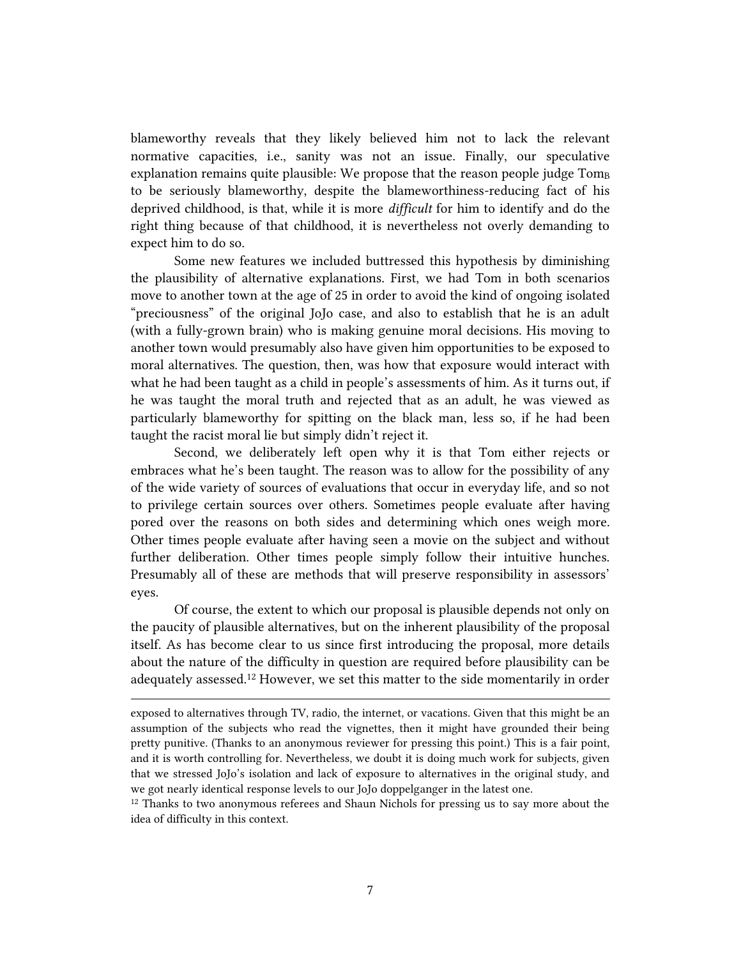blameworthy reveals that they likely believed him not to lack the relevant normative capacities, i.e., sanity was not an issue. Finally, our speculative explanation remains quite plausible: We propose that the reason people judge Tom<sub>B</sub> to be seriously blameworthy, despite the blameworthiness-reducing fact of his deprived childhood, is that, while it is more *difficult* for him to identify and do the right thing because of that childhood, it is nevertheless not overly demanding to expect him to do so.

Some new features we included buttressed this hypothesis by diminishing the plausibility of alternative explanations. First, we had Tom in both scenarios move to another town at the age of 25 in order to avoid the kind of ongoing isolated "preciousness" of the original JoJo case, and also to establish that he is an adult (with a fully-grown brain) who is making genuine moral decisions. His moving to another town would presumably also have given him opportunities to be exposed to moral alternatives. The question, then, was how that exposure would interact with what he had been taught as a child in people's assessments of him. As it turns out, if he was taught the moral truth and rejected that as an adult, he was viewed as particularly blameworthy for spitting on the black man, less so, if he had been taught the racist moral lie but simply didn't reject it.

Second, we deliberately left open why it is that Tom either rejects or embraces what he's been taught. The reason was to allow for the possibility of any of the wide variety of sources of evaluations that occur in everyday life, and so not to privilege certain sources over others. Sometimes people evaluate after having pored over the reasons on both sides and determining which ones weigh more. Other times people evaluate after having seen a movie on the subject and without further deliberation. Other times people simply follow their intuitive hunches. Presumably all of these are methods that will preserve responsibility in assessors' eyes.

Of course, the extent to which our proposal is plausible depends not only on the paucity of plausible alternatives, but on the inherent plausibility of the proposal itself. As has become clear to us since first introducing the proposal, more details about the nature of the difficulty in question are required before plausibility can be adequately assessed.<sup>12</sup> However, we set this matter to the side momentarily in order

 $\overline{a}$ 

<sup>12</sup> Thanks to two anonymous referees and Shaun Nichols for pressing us to say more about the idea of difficulty in this context.

exposed to alternatives through TV, radio, the internet, or vacations. Given that this might be an assumption of the subjects who read the vignettes, then it might have grounded their being pretty punitive. (Thanks to an anonymous reviewer for pressing this point.) This is a fair point, and it is worth controlling for. Nevertheless, we doubt it is doing much work for subjects, given that we stressed JoJo's isolation and lack of exposure to alternatives in the original study, and we got nearly identical response levels to our JoJo doppelganger in the latest one.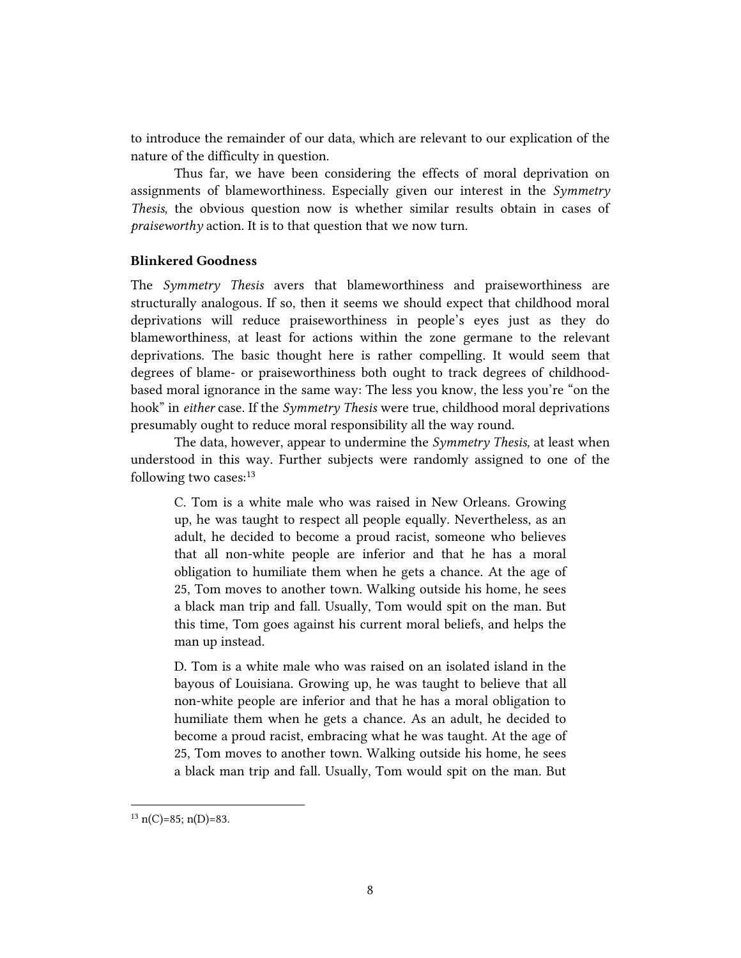to introduce the remainder of our data, which are relevant to our explication of the nature of the difficulty in question.

Thus far, we have been considering the effects of moral deprivation on assignments of blameworthiness. Especially given our interest in the *Symmetry Thesis,* the obvious question now is whether similar results obtain in cases of *praiseworthy* action. It is to that question that we now turn.

### **Blinkered Goodness**

The *Symmetry Thesis* avers that blameworthiness and praiseworthiness are structurally analogous. If so, then it seems we should expect that childhood moral deprivations will reduce praiseworthiness in people's eyes just as they do blameworthiness, at least for actions within the zone germane to the relevant deprivations. The basic thought here is rather compelling. It would seem that degrees of blame- or praiseworthiness both ought to track degrees of childhoodbased moral ignorance in the same way: The less you know, the less you're "on the hook" in *either* case. If the *Symmetry Thesis* were true, childhood moral deprivations presumably ought to reduce moral responsibility all the way round.

The data, however, appear to undermine the *Symmetry Thesis,* at least when understood in this way. Further subjects were randomly assigned to one of the following two cases:<sup>13</sup>

C. Tom is a white male who was raised in New Orleans. Growing up, he was taught to respect all people equally. Nevertheless, as an adult, he decided to become a proud racist, someone who believes that all non-white people are inferior and that he has a moral obligation to humiliate them when he gets a chance. At the age of 25, Tom moves to another town. Walking outside his home, he sees a black man trip and fall. Usually, Tom would spit on the man. But this time, Tom goes against his current moral beliefs, and helps the man up instead.

D. Tom is a white male who was raised on an isolated island in the bayous of Louisiana. Growing up, he was taught to believe that all non-white people are inferior and that he has a moral obligation to humiliate them when he gets a chance. As an adult, he decided to become a proud racist, embracing what he was taught. At the age of 25, Tom moves to another town. Walking outside his home, he sees a black man trip and fall. Usually, Tom would spit on the man. But

 $13 \text{ n(C)} = 85; \text{ n(D)} = 83.$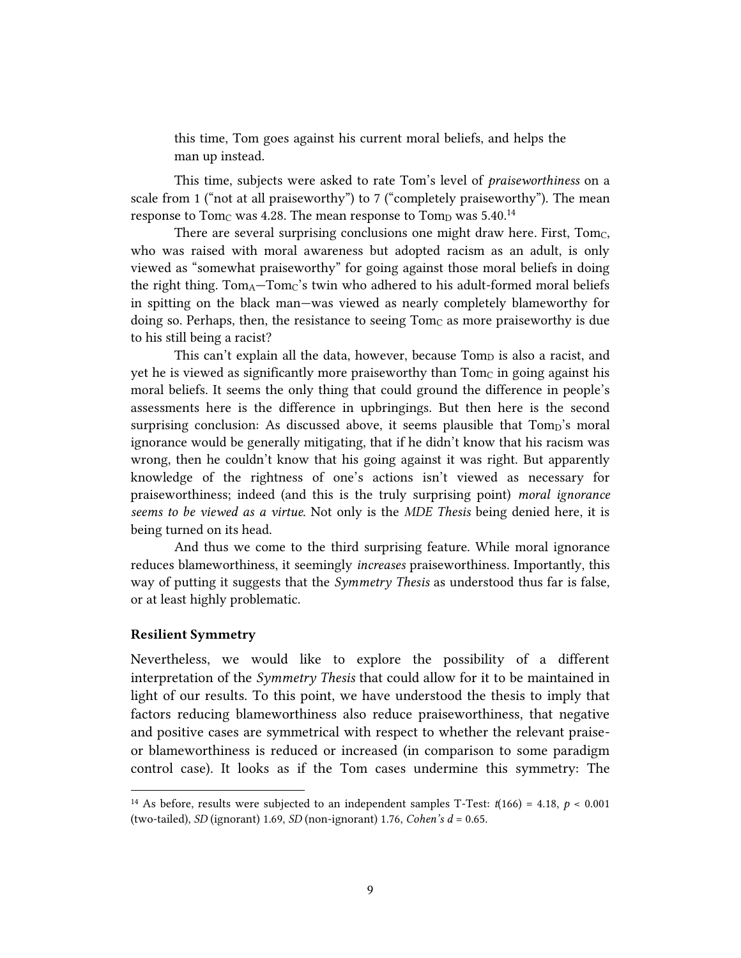this time, Tom goes against his current moral beliefs, and helps the man up instead.

This time, subjects were asked to rate Tom's level of *praiseworthiness* on a scale from 1 ("not at all praiseworthy") to 7 ("completely praiseworthy"). The mean response to  $\mathrm{Tom}_\mathrm{C}$  was 4.28. The mean response to  $\mathrm{Tom}_\mathrm{D}$  was 5.40. $^{14}$ 

There are several surprising conclusions one might draw here. First, Tomc, who was raised with moral awareness but adopted racism as an adult, is only viewed as "somewhat praiseworthy" for going against those moral beliefs in doing the right thing.  $Tom_A-Tom_C$ 's twin who adhered to his adult-formed moral beliefs in spitting on the black man—was viewed as nearly completely blameworthy for doing so. Perhaps, then, the resistance to seeing  $Tom<sub>C</sub>$  as more praiseworthy is due to his still being a racist?

This can't explain all the data, however, because Tomp is also a racist, and yet he is viewed as significantly more praiseworthy than  $Tom_C$  in going against his moral beliefs. It seems the only thing that could ground the difference in people's assessments here is the difference in upbringings. But then here is the second surprising conclusion: As discussed above, it seems plausible that Tomp's moral ignorance would be generally mitigating, that if he didn't know that his racism was wrong, then he couldn't know that his going against it was right. But apparently knowledge of the rightness of one's actions isn't viewed as necessary for praiseworthiness; indeed (and this is the truly surprising point) *moral ignorance seems to be viewed as a virtue*. Not only is the *MDE Thesis* being denied here, it is being turned on its head.

And thus we come to the third surprising feature. While moral ignorance reduces blameworthiness, it seemingly *increases* praiseworthiness. Importantly, this way of putting it suggests that the *Symmetry Thesis* as understood thus far is false, or at least highly problematic.

#### **Resilient Symmetry**

 $\overline{a}$ 

Nevertheless, we would like to explore the possibility of a different interpretation of the *Symmetry Thesis* that could allow for it to be maintained in light of our results. To this point, we have understood the thesis to imply that factors reducing blameworthiness also reduce praiseworthiness, that negative and positive cases are symmetrical with respect to whether the relevant praiseor blameworthiness is reduced or increased (in comparison to some paradigm control case). It looks as if the Tom cases undermine this symmetry: The

<sup>&</sup>lt;sup>14</sup> As before, results were subjected to an independent samples T-Test:  $t(166) = 4.18$ ,  $p < 0.001$ (two-tailed), *SD* (ignorant) 1.69, *SD* (non-ignorant) 1.76, *Cohen's d* = 0.65.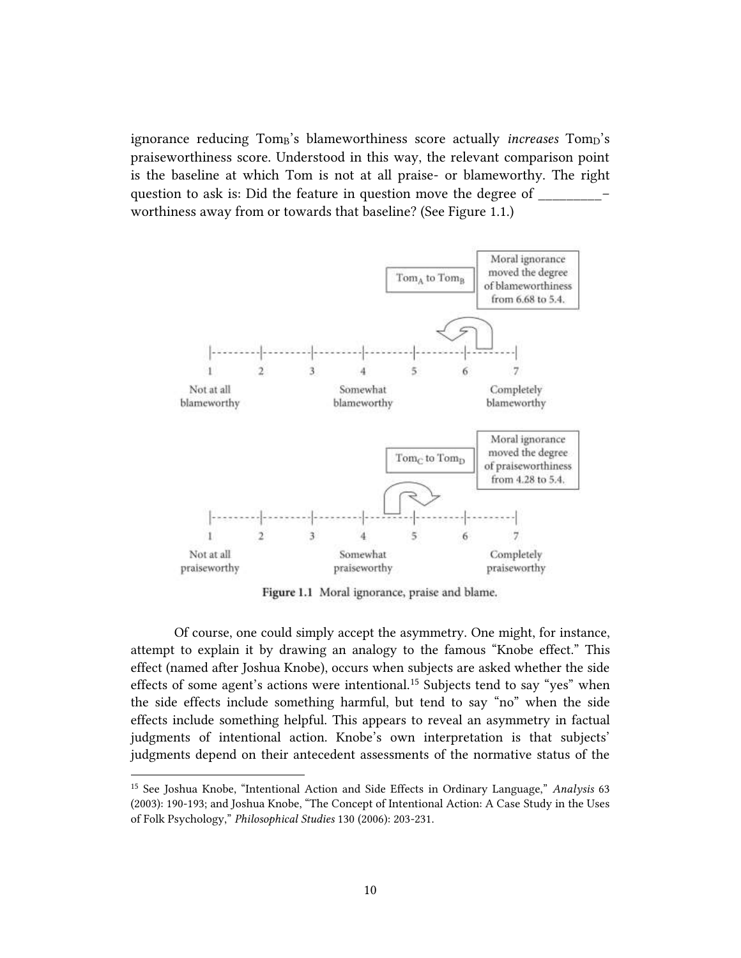ignorance reducing Tom<sub>B</sub>'s blameworthiness score actually *increases* Tom<sub>D</sub>'s praiseworthiness score. Understood in this way, the relevant comparison point is the baseline at which Tom is not at all praise- or blameworthy. The right question to ask is: Did the feature in question move the degree of worthiness away from or towards that baseline? (See Figure 1.1.)



Figure 1.1 Moral ignorance, praise and blame.

Of course, one could simply accept the asymmetry. One might, for instance, attempt to explain it by drawing an analogy to the famous "Knobe effect." This effect (named after Joshua Knobe), occurs when subjects are asked whether the side effects of some agent's actions were intentional.<sup>15</sup> Subjects tend to say "yes" when the side effects include something harmful, but tend to say "no" when the side effects include something helpful. This appears to reveal an asymmetry in factual judgments of intentional action. Knobe's own interpretation is that subjects' judgments depend on their antecedent assessments of the normative status of the

<sup>15</sup> See Joshua Knobe, "Intentional Action and Side Effects in Ordinary Language," *Analysis* 63 (2003): 190-193; and Joshua Knobe, "The Concept of Intentional Action: A Case Study in the Uses of Folk Psychology," *Philosophical Studies* 130 (2006): 203-231.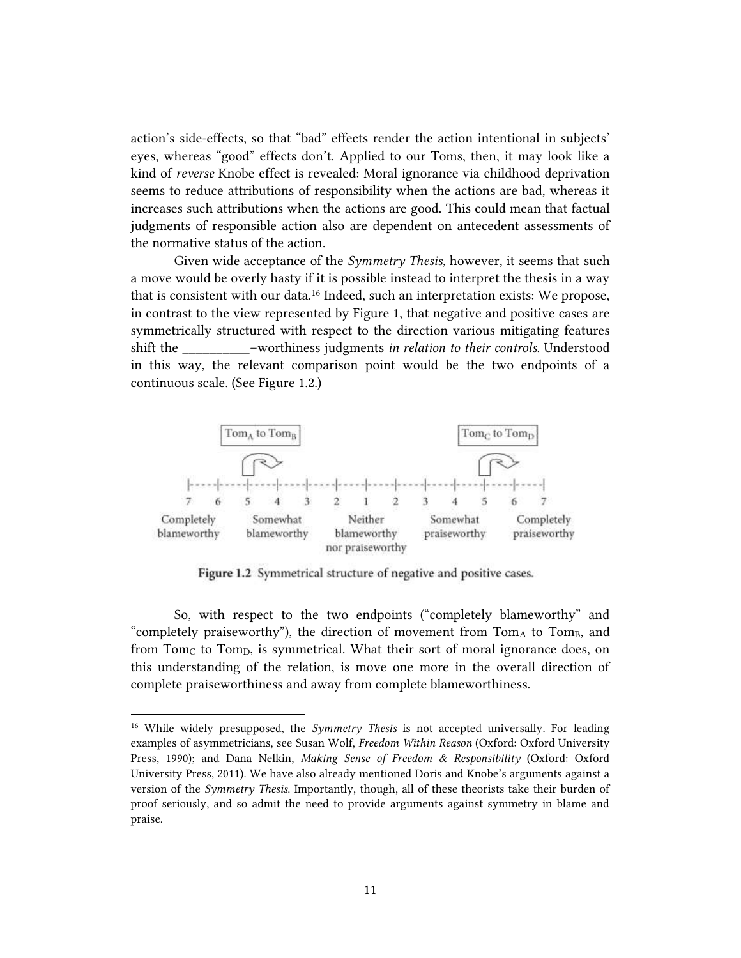action's side-effects, so that "bad" effects render the action intentional in subjects' eyes, whereas "good" effects don't. Applied to our Toms, then, it may look like a kind of *reverse* Knobe effect is revealed: Moral ignorance via childhood deprivation seems to reduce attributions of responsibility when the actions are bad, whereas it increases such attributions when the actions are good. This could mean that factual judgments of responsible action also are dependent on antecedent assessments of the normative status of the action.

Given wide acceptance of the *Symmetry Thesis,* however, it seems that such a move would be overly hasty if it is possible instead to interpret the thesis in a way that is consistent with our data.<sup>16</sup> Indeed, such an interpretation exists: We propose, in contrast to the view represented by Figure 1, that negative and positive cases are symmetrically structured with respect to the direction various mitigating features shift the \_\_\_\_\_\_\_\_\_\_–worthiness judgments *in relation to their controls*. Understood in this way, the relevant comparison point would be the two endpoints of a continuous scale. (See Figure 1.2.)



Figure 1.2 Symmetrical structure of negative and positive cases.

So, with respect to the two endpoints ("completely blameworthy" and "completely praiseworthy"), the direction of movement from  $Tom<sub>A</sub>$  to  $Tom<sub>B</sub>$ , and from Tom<sub>C</sub> to Tom<sub>D</sub>, is symmetrical. What their sort of moral ignorance does, on this understanding of the relation, is move one more in the overall direction of complete praiseworthiness and away from complete blameworthiness.

<sup>16</sup> While widely presupposed, the *Symmetry Thesis* is not accepted universally. For leading examples of asymmetricians, see Susan Wolf, *Freedom Within Reason* (Oxford: Oxford University Press, 1990); and Dana Nelkin, *Making Sense of Freedom & Responsibility* (Oxford: Oxford University Press, 2011). We have also already mentioned Doris and Knobe's arguments against a version of the *Symmetry Thesis*. Importantly, though, all of these theorists take their burden of proof seriously, and so admit the need to provide arguments against symmetry in blame and praise.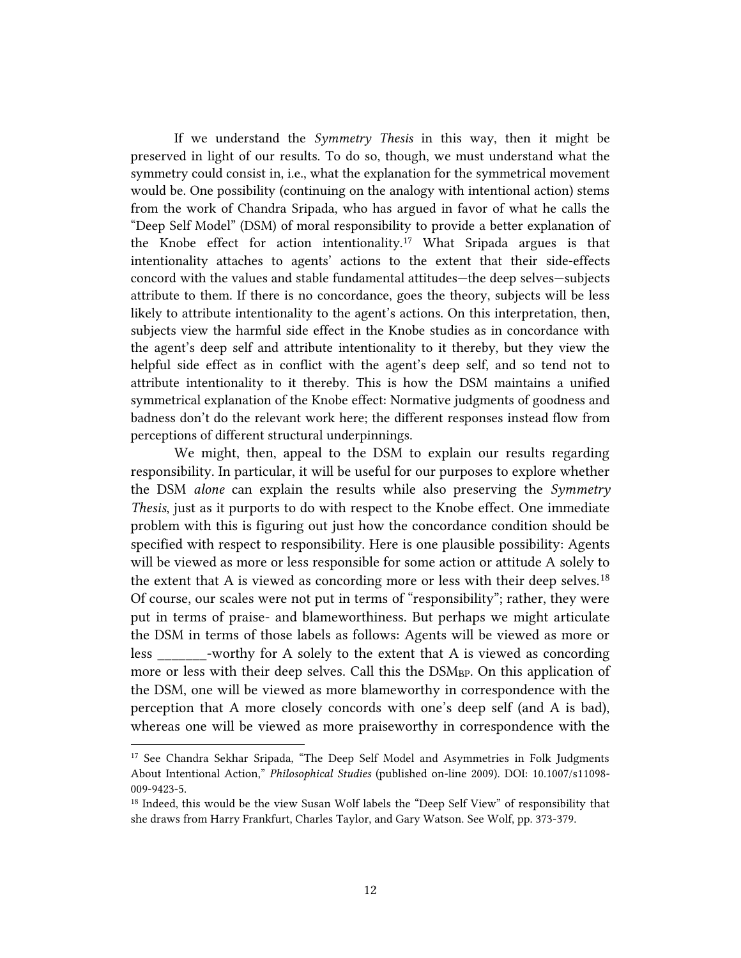If we understand the *Symmetry Thesis* in this way, then it might be preserved in light of our results. To do so, though, we must understand what the symmetry could consist in, i.e., what the explanation for the symmetrical movement would be. One possibility (continuing on the analogy with intentional action) stems from the work of Chandra Sripada, who has argued in favor of what he calls the "Deep Self Model" (DSM) of moral responsibility to provide a better explanation of the Knobe effect for action intentionality.<sup>17</sup> What Sripada argues is that intentionality attaches to agents' actions to the extent that their side-effects concord with the values and stable fundamental attitudes—the deep selves—subjects attribute to them. If there is no concordance, goes the theory, subjects will be less likely to attribute intentionality to the agent's actions. On this interpretation, then, subjects view the harmful side effect in the Knobe studies as in concordance with the agent's deep self and attribute intentionality to it thereby, but they view the helpful side effect as in conflict with the agent's deep self, and so tend not to attribute intentionality to it thereby. This is how the DSM maintains a unified symmetrical explanation of the Knobe effect: Normative judgments of goodness and badness don't do the relevant work here; the different responses instead flow from perceptions of different structural underpinnings.

We might, then, appeal to the DSM to explain our results regarding responsibility. In particular, it will be useful for our purposes to explore whether the DSM *alone* can explain the results while also preserving the *Symmetry Thesis*, just as it purports to do with respect to the Knobe effect. One immediate problem with this is figuring out just how the concordance condition should be specified with respect to responsibility. Here is one plausible possibility: Agents will be viewed as more or less responsible for some action or attitude A solely to the extent that A is viewed as concording more or less with their deep selves.<sup>18</sup> Of course, our scales were not put in terms of "responsibility"; rather, they were put in terms of praise- and blameworthiness. But perhaps we might articulate the DSM in terms of those labels as follows: Agents will be viewed as more or less -worthy for A solely to the extent that A is viewed as concording more or less with their deep selves. Call this the DSM<sub>BP</sub>. On this application of the DSM, one will be viewed as more blameworthy in correspondence with the perception that A more closely concords with one's deep self (and A is bad), whereas one will be viewed as more praiseworthy in correspondence with the

<sup>&</sup>lt;sup>17</sup> See Chandra Sekhar Sripada, "The Deep Self Model and Asymmetries in Folk Judgments About Intentional Action," *Philosophical Studies* (published on-line 2009). DOI: 10.1007/s11098- 009-9423-5.

<sup>&</sup>lt;sup>18</sup> Indeed, this would be the view Susan Wolf labels the "Deep Self View" of responsibility that she draws from Harry Frankfurt, Charles Taylor, and Gary Watson. See Wolf, pp. 373-379.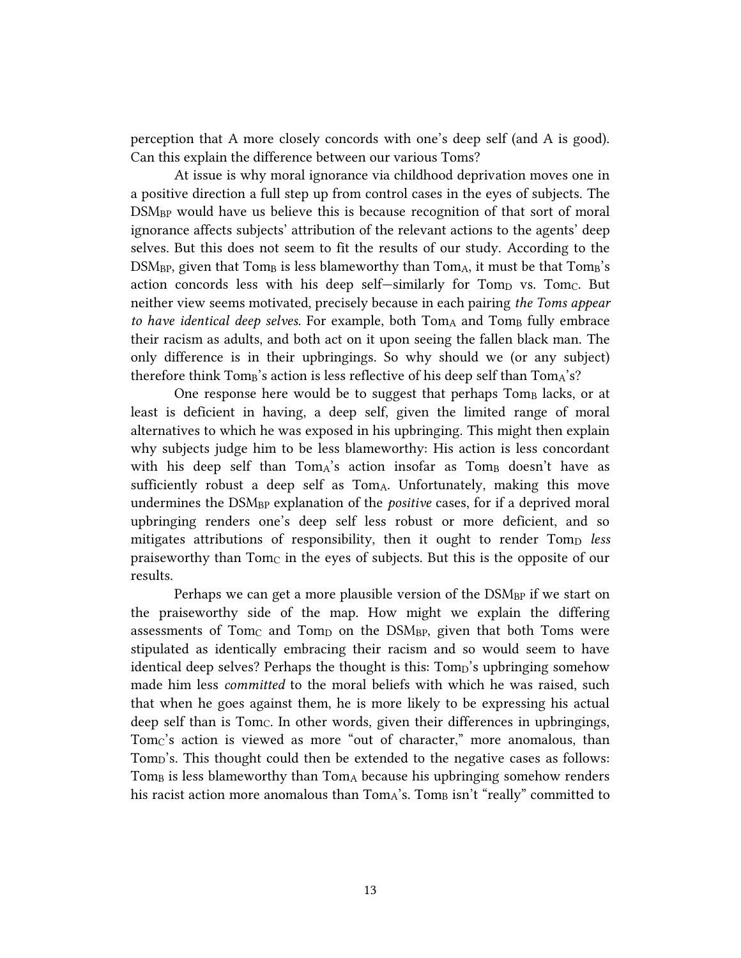perception that A more closely concords with one's deep self (and A is good). Can this explain the difference between our various Toms?

At issue is why moral ignorance via childhood deprivation moves one in a positive direction a full step up from control cases in the eyes of subjects. The DSM<sub>BP</sub> would have us believe this is because recognition of that sort of moral ignorance affects subjects' attribution of the relevant actions to the agents' deep selves. But this does not seem to fit the results of our study. According to the  $DSM_{BP}$ , given that Tom<sub>B</sub> is less blameworthy than Tom<sub>A</sub>, it must be that Tom<sub>B</sub>'s action concords less with his deep self-similarly for  $Tom<sub>D</sub>$  vs.  $Tom<sub>C</sub>$ . But neither view seems motivated, precisely because in each pairing *the Toms appear*  to have *identical deep selves*. For example, both TomA and TomB fully embrace their racism as adults, and both act on it upon seeing the fallen black man. The only difference is in their upbringings. So why should we (or any subject) therefore think  $Tom_B$ 's action is less reflective of his deep self than  $Tom_A$ 's?

One response here would be to suggest that perhaps Tom<sub>B</sub> lacks, or at least is deficient in having, a deep self, given the limited range of moral alternatives to which he was exposed in his upbringing. This might then explain why subjects judge him to be less blameworthy: His action is less concordant with his deep self than  $Tom_A$ 's action insofar as  $Tom_B$  doesn't have as sufficiently robust a deep self as  $Tom_A$ . Unfortunately, making this move undermines the DSM<sub>BP</sub> explanation of the *positive* cases, for if a deprived moral upbringing renders one's deep self less robust or more deficient, and so mitigates attributions of responsibility, then it ought to render Tomp less praiseworthy than Tomc in the eyes of subjects. But this is the opposite of our results.

Perhaps we can get a more plausible version of the DSM<sub>BP</sub> if we start on the praiseworthy side of the map. How might we explain the differing assessments of Tom<sub>C</sub> and Tom<sub>D</sub> on the DSM<sub>BP</sub>, given that both Toms were stipulated as identically embracing their racism and so would seem to have identical deep selves? Perhaps the thought is this: Tomp's upbringing somehow made him less *committed* to the moral beliefs with which he was raised, such that when he goes against them, he is more likely to be expressing his actual deep self than is TomC. In other words, given their differences in upbringings, Tomc's action is viewed as more "out of character," more anomalous, than Tom<sub>D</sub>'s. This thought could then be extended to the negative cases as follows:  $T \text{om}_B$  is less blameworthy than  $T \text{om}_A$  because his upbringing somehow renders his racist action more anomalous than TomA's. TomB isn't "really" committed to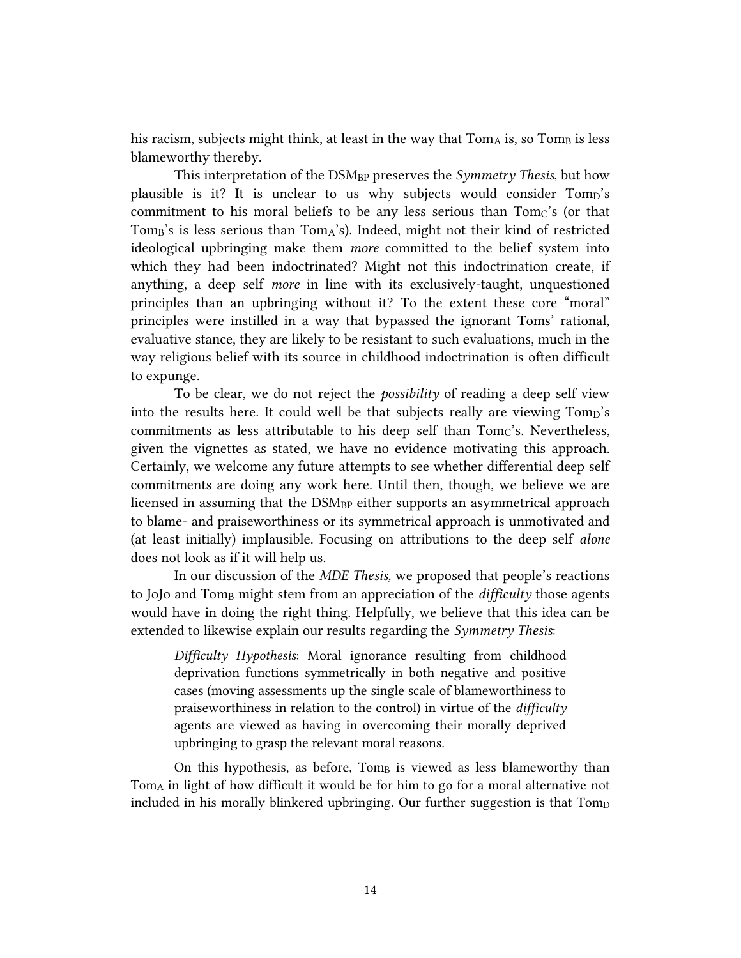his racism, subjects might think, at least in the way that  $Tom_A$  is, so  $Tom_B$  is less blameworthy thereby.

This interpretation of the DSMBP preserves the *Symmetry Thesis*, but how plausible is it? It is unclear to us why subjects would consider Tomp's commitment to his moral beliefs to be any less serious than  $Tom<sub>C</sub>$ 's (or that Tom $_B$ 's is less serious than  $Tom_A$ 's). Indeed, might not their kind of restricted ideological upbringing make them *more* committed to the belief system into which they had been indoctrinated? Might not this indoctrination create, if anything, a deep self *more* in line with its exclusively-taught, unquestioned principles than an upbringing without it? To the extent these core "moral" principles were instilled in a way that bypassed the ignorant Toms' rational, evaluative stance, they are likely to be resistant to such evaluations, much in the way religious belief with its source in childhood indoctrination is often difficult to expunge.

To be clear, we do not reject the *possibility* of reading a deep self view into the results here. It could well be that subjects really are viewing Tomp's commitments as less attributable to his deep self than  $Tomc's$ . Nevertheless, given the vignettes as stated, we have no evidence motivating this approach. Certainly, we welcome any future attempts to see whether differential deep self commitments are doing any work here. Until then, though, we believe we are licensed in assuming that the DSM<sub>BP</sub> either supports an asymmetrical approach to blame- and praiseworthiness or its symmetrical approach is unmotivated and (at least initially) implausible. Focusing on attributions to the deep self *alone* does not look as if it will help us.

In our discussion of the *MDE Thesis,* we proposed that people's reactions to JoJo and Tom<sub>B</sub> might stem from an appreciation of the *difficulty* those agents would have in doing the right thing. Helpfully, we believe that this idea can be extended to likewise explain our results regarding the *Symmetry Thesis*:

*Difficulty Hypothesis*: Moral ignorance resulting from childhood deprivation functions symmetrically in both negative and positive cases (moving assessments up the single scale of blameworthiness to praiseworthiness in relation to the control) in virtue of the *difficulty* agents are viewed as having in overcoming their morally deprived upbringing to grasp the relevant moral reasons.

On this hypothesis, as before,  $Tom_B$  is viewed as less blameworthy than  $Tom_A$  in light of how difficult it would be for him to go for a moral alternative not included in his morally blinkered upbringing. Our further suggestion is that  $Tom<sub>D</sub>$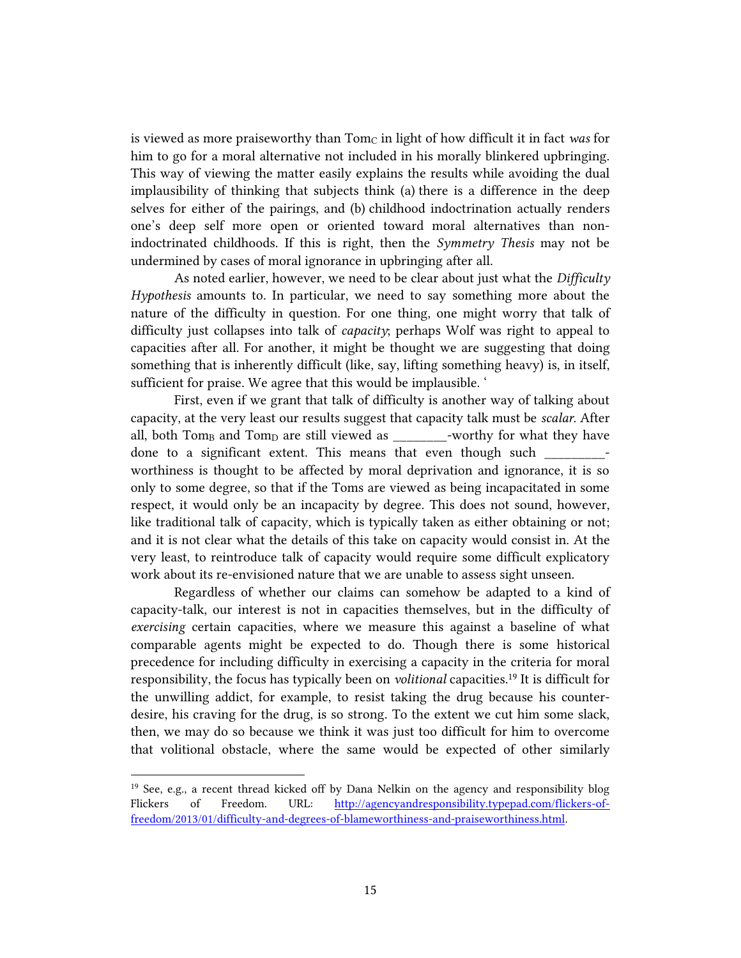is viewed as more praiseworthy than Tom<sub>C</sub> in light of how difficult it in fact was for him to go for a moral alternative not included in his morally blinkered upbringing. This way of viewing the matter easily explains the results while avoiding the dual implausibility of thinking that subjects think (a) there is a difference in the deep selves for either of the pairings, and (b) childhood indoctrination actually renders one's deep self more open or oriented toward moral alternatives than nonindoctrinated childhoods. If this is right, then the *Symmetry Thesis* may not be undermined by cases of moral ignorance in upbringing after all.

As noted earlier, however, we need to be clear about just what the *Difficulty Hypothesis* amounts to. In particular, we need to say something more about the nature of the difficulty in question. For one thing, one might worry that talk of difficulty just collapses into talk of *capacity*; perhaps Wolf was right to appeal to capacities after all. For another, it might be thought we are suggesting that doing something that is inherently difficult (like, say, lifting something heavy) is, in itself, sufficient for praise. We agree that this would be implausible. '

First, even if we grant that talk of difficulty is another way of talking about capacity, at the very least our results suggest that capacity talk must be *scalar*. After all, both  $Tom_B$  and  $Tom_D$  are still viewed as  $C$  -worthy for what they have done to a significant extent. This means that even though such worthiness is thought to be affected by moral deprivation and ignorance, it is so only to some degree, so that if the Toms are viewed as being incapacitated in some respect, it would only be an incapacity by degree. This does not sound, however, like traditional talk of capacity, which is typically taken as either obtaining or not; and it is not clear what the details of this take on capacity would consist in. At the very least, to reintroduce talk of capacity would require some difficult explicatory work about its re-envisioned nature that we are unable to assess sight unseen.

Regardless of whether our claims can somehow be adapted to a kind of capacity-talk, our interest is not in capacities themselves, but in the difficulty of *exercising* certain capacities, where we measure this against a baseline of what comparable agents might be expected to do. Though there is some historical precedence for including difficulty in exercising a capacity in the criteria for moral responsibility, the focus has typically been on *volitional* capacities. <sup>19</sup> It is difficult for the unwilling addict, for example, to resist taking the drug because his counterdesire, his craving for the drug, is so strong. To the extent we cut him some slack, then, we may do so because we think it was just too difficult for him to overcome that volitional obstacle, where the same would be expected of other similarly

<sup>&</sup>lt;sup>19</sup> See, e.g., a recent thread kicked off by Dana Nelkin on the agency and responsibility blog Flickers of Freedom. URL: [http://agencyandresponsibility.typepad.com/flickers-of](http://agencyandresponsibility.typepad.com/flickers-of-freedom/2013/01/difficulty-and-degrees-of-blameworthiness-and-praiseworthiness.html)[freedom/2013/01/difficulty-and-degrees-of-blameworthiness-and-praiseworthiness.html.](http://agencyandresponsibility.typepad.com/flickers-of-freedom/2013/01/difficulty-and-degrees-of-blameworthiness-and-praiseworthiness.html)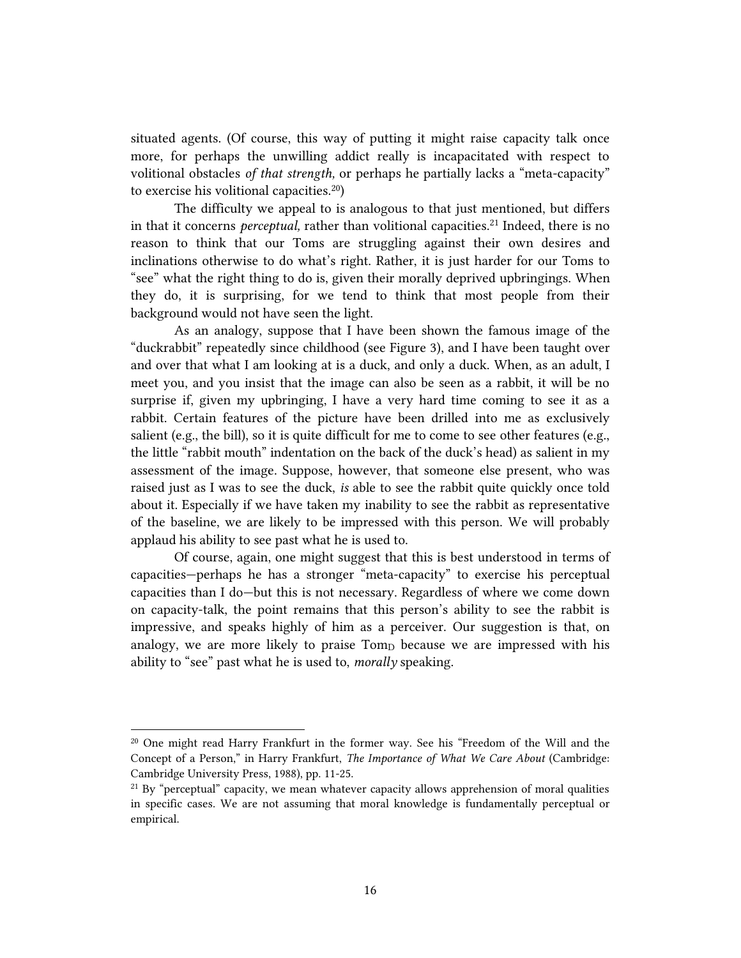situated agents. (Of course, this way of putting it might raise capacity talk once more, for perhaps the unwilling addict really is incapacitated with respect to volitional obstacles *of that strength,* or perhaps he partially lacks a "meta-capacity" to exercise his volitional capacities. 20)

The difficulty we appeal to is analogous to that just mentioned, but differs in that it concerns *perceptual*, rather than volitional capacities.<sup>21</sup> Indeed, there is no reason to think that our Toms are struggling against their own desires and inclinations otherwise to do what's right. Rather, it is just harder for our Toms to "see" what the right thing to do is, given their morally deprived upbringings. When they do, it is surprising, for we tend to think that most people from their background would not have seen the light.

As an analogy, suppose that I have been shown the famous image of the "duckrabbit" repeatedly since childhood (see Figure 3), and I have been taught over and over that what I am looking at is a duck, and only a duck. When, as an adult, I meet you, and you insist that the image can also be seen as a rabbit, it will be no surprise if, given my upbringing, I have a very hard time coming to see it as a rabbit. Certain features of the picture have been drilled into me as exclusively salient (e.g., the bill), so it is quite difficult for me to come to see other features (e.g., the little "rabbit mouth" indentation on the back of the duck's head) as salient in my assessment of the image. Suppose, however, that someone else present, who was raised just as I was to see the duck, *is* able to see the rabbit quite quickly once told about it. Especially if we have taken my inability to see the rabbit as representative of the baseline, we are likely to be impressed with this person. We will probably applaud his ability to see past what he is used to.

Of course, again, one might suggest that this is best understood in terms of capacities—perhaps he has a stronger "meta-capacity" to exercise his perceptual capacities than I do—but this is not necessary. Regardless of where we come down on capacity-talk, the point remains that this person's ability to see the rabbit is impressive, and speaks highly of him as a perceiver. Our suggestion is that, on analogy, we are more likely to praise Tomp because we are impressed with his ability to "see" past what he is used to, *morally* speaking.

<sup>20</sup> One might read Harry Frankfurt in the former way. See his "Freedom of the Will and the Concept of a Person," in Harry Frankfurt, *The Importance of What We Care About* (Cambridge: Cambridge University Press, 1988), pp. 11-25.

 $^{21}$  By "perceptual" capacity, we mean whatever capacity allows apprehension of moral qualities in specific cases. We are not assuming that moral knowledge is fundamentally perceptual or empirical.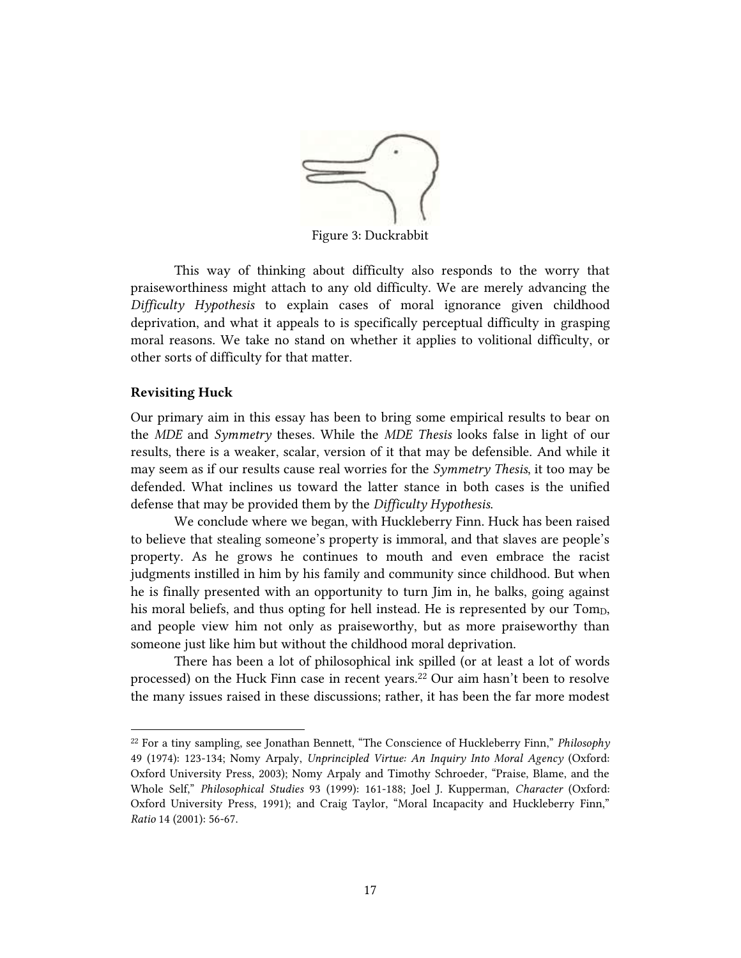

Figure 3: Duckrabbit

This way of thinking about difficulty also responds to the worry that praiseworthiness might attach to any old difficulty. We are merely advancing the *Difficulty Hypothesis* to explain cases of moral ignorance given childhood deprivation, and what it appeals to is specifically perceptual difficulty in grasping moral reasons. We take no stand on whether it applies to volitional difficulty, or other sorts of difficulty for that matter.

#### **Revisiting Huck**

 $\overline{a}$ 

Our primary aim in this essay has been to bring some empirical results to bear on the *MDE* and *Symmetry* theses. While the *MDE Thesis* looks false in light of our results, there is a weaker, scalar, version of it that may be defensible. And while it may seem as if our results cause real worries for the *Symmetry Thesis*, it too may be defended. What inclines us toward the latter stance in both cases is the unified defense that may be provided them by the *Difficulty Hypothesis*.

We conclude where we began, with Huckleberry Finn. Huck has been raised to believe that stealing someone's property is immoral, and that slaves are people's property. As he grows he continues to mouth and even embrace the racist judgments instilled in him by his family and community since childhood. But when he is finally presented with an opportunity to turn Jim in, he balks, going against his moral beliefs, and thus opting for hell instead. He is represented by our Tomp, and people view him not only as praiseworthy, but as more praiseworthy than someone just like him but without the childhood moral deprivation.

There has been a lot of philosophical ink spilled (or at least a lot of words processed) on the Huck Finn case in recent years.<sup>22</sup> Our aim hasn't been to resolve the many issues raised in these discussions; rather, it has been the far more modest

<sup>22</sup> For a tiny sampling, see Jonathan Bennett, "The Conscience of Huckleberry Finn," *Philosophy* 49 (1974): 123-134; Nomy Arpaly, *Unprincipled Virtue: An Inquiry Into Moral Agency* (Oxford: Oxford University Press, 2003); Nomy Arpaly and Timothy Schroeder, "Praise, Blame, and the Whole Self," *Philosophical Studies* 93 (1999): 161-188; Joel J. Kupperman, *Character* (Oxford: Oxford University Press, 1991); and Craig Taylor, "Moral Incapacity and Huckleberry Finn," *Ratio* 14 (2001): 56-67.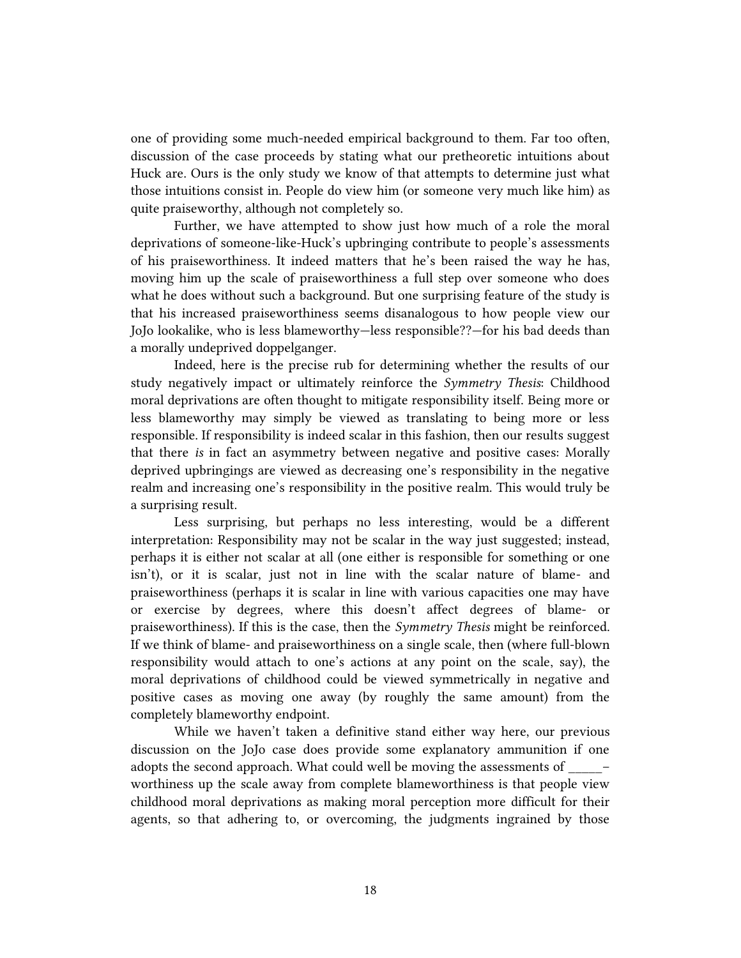one of providing some much-needed empirical background to them. Far too often, discussion of the case proceeds by stating what our pretheoretic intuitions about Huck are. Ours is the only study we know of that attempts to determine just what those intuitions consist in. People do view him (or someone very much like him) as quite praiseworthy, although not completely so.

Further, we have attempted to show just how much of a role the moral deprivations of someone-like-Huck's upbringing contribute to people's assessments of his praiseworthiness. It indeed matters that he's been raised the way he has, moving him up the scale of praiseworthiness a full step over someone who does what he does without such a background. But one surprising feature of the study is that his increased praiseworthiness seems disanalogous to how people view our JoJo lookalike, who is less blameworthy—less responsible??—for his bad deeds than a morally undeprived doppelganger.

Indeed, here is the precise rub for determining whether the results of our study negatively impact or ultimately reinforce the *Symmetry Thesis*: Childhood moral deprivations are often thought to mitigate responsibility itself. Being more or less blameworthy may simply be viewed as translating to being more or less responsible. If responsibility is indeed scalar in this fashion, then our results suggest that there *is* in fact an asymmetry between negative and positive cases: Morally deprived upbringings are viewed as decreasing one's responsibility in the negative realm and increasing one's responsibility in the positive realm. This would truly be a surprising result.

Less surprising, but perhaps no less interesting, would be a different interpretation: Responsibility may not be scalar in the way just suggested; instead, perhaps it is either not scalar at all (one either is responsible for something or one isn't), or it is scalar, just not in line with the scalar nature of blame- and praiseworthiness (perhaps it is scalar in line with various capacities one may have or exercise by degrees, where this doesn't affect degrees of blame- or praiseworthiness). If this is the case, then the *Symmetry Thesis* might be reinforced. If we think of blame- and praiseworthiness on a single scale, then (where full-blown responsibility would attach to one's actions at any point on the scale, say), the moral deprivations of childhood could be viewed symmetrically in negative and positive cases as moving one away (by roughly the same amount) from the completely blameworthy endpoint.

While we haven't taken a definitive stand either way here, our previous discussion on the JoJo case does provide some explanatory ammunition if one adopts the second approach. What could well be moving the assessments of  $\qquad$  worthiness up the scale away from complete blameworthiness is that people view childhood moral deprivations as making moral perception more difficult for their agents, so that adhering to, or overcoming, the judgments ingrained by those